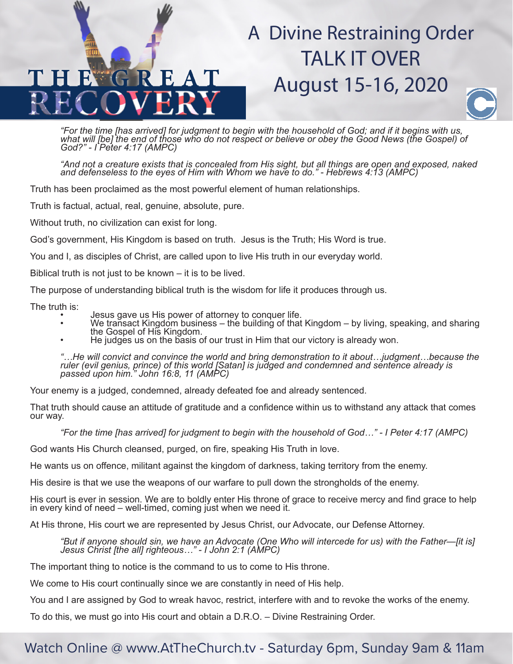## A Divine Restraining Order TALK IT OVER August 15-16, 2020



"For the time [has arrived] for judgment to begin with the household of God; and if it begins with us,<br>what will [be] the end of those who do not respect or believe or obey the Good News (the Gospel) of<br>God?" - I Peter 4:1

"And not a creature exists that is concealed from His sight, but all things are open and exposed, naked<br>and defenseless to the eyes of Him with Whom we have to do." - Hebrews 4:13 (AMPC)

Truth has been proclaimed as the most powerful element of human relationships.

Truth is factual, actual, real, genuine, absolute, pure.

Without truth, no civilization can exist for long.

God's government, His Kingdom is based on truth. Jesus is the Truth; His Word is true.

You and I, as disciples of Christ, are called upon to live His truth in our everyday world.

Biblical truth is not just to be known – it is to be lived.

The purpose of understanding biblical truth is the wisdom for life it produces through us.

- 
- The truth is:<br>
Jesus gave us His power of attorney to conquer life.<br>
We transact Kingdom business the building of that Kingdom by living, speaking, and sharing<br>
the Gospel of His Kingdom.<br>
He judges us on the basis of
	-

*"…He will convict and convince the world and bring demonstration to it about…judgment…because the ruler (evil genius, prince) of this world [Satan] is judged and condemned and sentence already is passed upon him." John 16:8, 11 (AMPC)*

Your enemy is a judged, condemned, already defeated foe and already sentenced.

That truth should cause an attitude of gratitude and a confidence within us to withstand any attack that comes our way.

*"For the time [has arrived] for judgment to begin with the household of God…" - I Peter 4:17 (AMPC)*

God wants His Church cleansed, purged, on fire, speaking His Truth in love.

He wants us on offence, militant against the kingdom of darkness, taking territory from the enemy.

His desire is that we use the weapons of our warfare to pull down the strongholds of the enemy.

His court is ever in session. We are to boldly enter His throne of grace to receive mercy and find grace to help in every kind of need  $-$  well-timed, coming just when we need it.

At His throne, His court we are represented by Jesus Christ, our Advocate, our Defense Attorney.

*"But if anyone should sin, we have an Advocate (One Who will intercede for us) with the Father—[it is] Jesus Christ [the all] righteous…" - I John 2:1 (AMPC)*

The important thing to notice is the command to us to come to His throne.

We come to His court continually since we are constantly in need of His help.

You and I are assigned by God to wreak havoc, restrict, interfere with and to revoke the works of the enemy.

To do this, we must go into His court and obtain a D.R.O. – Divine Restraining Order.

## Watch Online @ www.AtTheChurch.tv - Saturday 6pm, Sunday 9am & 11am